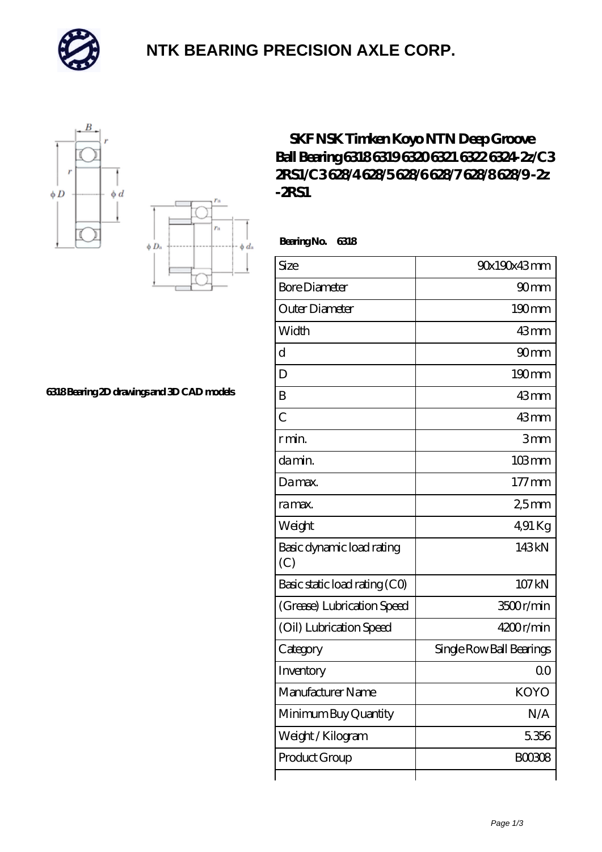

### **[NTK BEARING PRECISION AXLE CORP.](https://m.simonshaus.com)**





#### **[6318 Bearing 2D drawings and 3D CAD models](https://m.simonshaus.com/pic-65282644.html)**

### **[SKF NSK Timken Koyo NTN Deep Groove](https://m.simonshaus.com/af-65282644-skf-nsk-timken-koyo-ntn-deep-groove-ball-bearing-6318-6319-6320-6321-6322-6324-2z-c3-2rs1-c3-628-4-628-5-628-6-628-7-628-8-628-9-2z-2rs1.html) [Ball Bearing 6318 6319 6320 6321 6322 6324-2z/C3](https://m.simonshaus.com/af-65282644-skf-nsk-timken-koyo-ntn-deep-groove-ball-bearing-6318-6319-6320-6321-6322-6324-2z-c3-2rs1-c3-628-4-628-5-628-6-628-7-628-8-628-9-2z-2rs1.html) [2RS1/C3 628/4 628/5 628/6 628/7 628/8 628/9 -2z](https://m.simonshaus.com/af-65282644-skf-nsk-timken-koyo-ntn-deep-groove-ball-bearing-6318-6319-6320-6321-6322-6324-2z-c3-2rs1-c3-628-4-628-5-628-6-628-7-628-8-628-9-2z-2rs1.html) [-2RS1](https://m.simonshaus.com/af-65282644-skf-nsk-timken-koyo-ntn-deep-groove-ball-bearing-6318-6319-6320-6321-6322-6324-2z-c3-2rs1-c3-628-4-628-5-628-6-628-7-628-8-628-9-2z-2rs1.html)**

 **Bearing No. 6318**

| Size                             | 90x190x43mm              |
|----------------------------------|--------------------------|
| <b>Bore Diameter</b>             | 90 <sub>mm</sub>         |
| Outer Diameter                   | 190mm                    |
| Width                            | 43mm                     |
| $\overline{\mathrm{d}}$          | 90 <sub>mm</sub>         |
| D                                | $190 \text{mm}$          |
| B                                | 43mm                     |
| $\overline{C}$                   | 43mm                     |
| $r$ min.                         | 3mm                      |
| da min.                          | 103mm                    |
| Damax.                           | $177$ mm                 |
| ra max.                          | 25mm                     |
| Weight                           | 491 Kg                   |
| Basic dynamic load rating<br>(C) | 143kN                    |
| Basic static load rating (CO)    | 107 kN                   |
| (Grease) Lubrication Speed       | 3500r/min                |
| (Oil) Lubrication Speed          | 4200r/min                |
| Category                         | Single Row Ball Bearings |
| Inventory                        | 0 <sup>0</sup>           |
| Manufacturer Name                | <b>KOYO</b>              |
| Minimum Buy Quantity             | N/A                      |
| Weight / Kilogram                | 5356                     |
| Product Group                    | <b>BOO3O8</b>            |
|                                  |                          |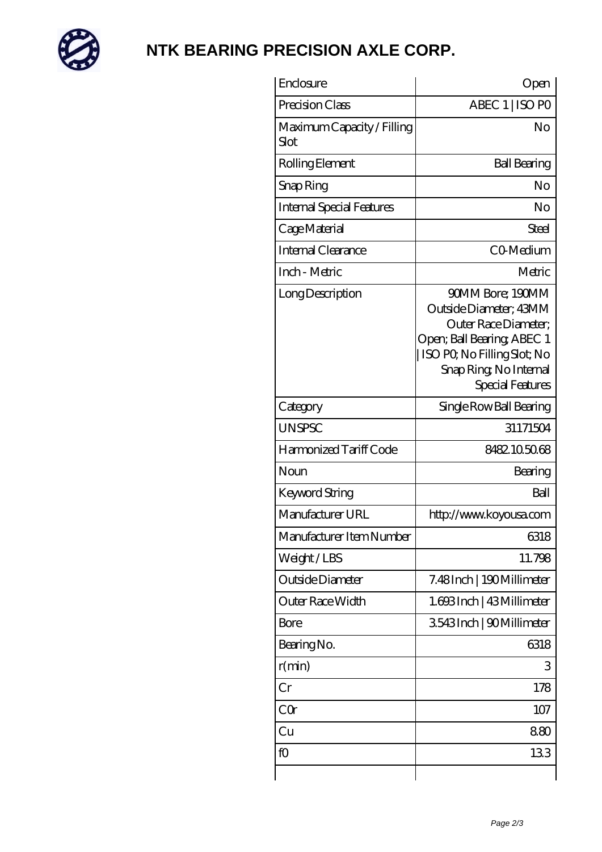

# **[NTK BEARING PRECISION AXLE CORP.](https://m.simonshaus.com)**

| Enclosure                          | Open                                                                                                                                                                         |
|------------------------------------|------------------------------------------------------------------------------------------------------------------------------------------------------------------------------|
| Precision Class                    | ABEC 1   ISO PO                                                                                                                                                              |
| Maximum Capacity / Filling<br>Slot | No                                                                                                                                                                           |
| Rolling Element                    | <b>Ball Bearing</b>                                                                                                                                                          |
| Snap Ring                          | No                                                                                                                                                                           |
| <b>Internal Special Features</b>   | No                                                                                                                                                                           |
| Cage Material                      | Steel                                                                                                                                                                        |
| Internal Clearance                 | CO-Medium                                                                                                                                                                    |
| Inch - Metric                      | Metric                                                                                                                                                                       |
| Long Description                   | 90MM Bore; 190MM<br>Outside Diameter; 43MM<br>Outer Race Diameter:<br>Open; Ball Bearing; ABEC 1<br>ISO PQ No Filling Slot; No<br>Snap Ring, No Internal<br>Special Features |
| Category                           | Single Row Ball Bearing                                                                                                                                                      |
| <b>UNSPSC</b>                      | 31171504                                                                                                                                                                     |
| Harmonized Tariff Code             | 8482105068                                                                                                                                                                   |
| Noun                               | Bearing                                                                                                                                                                      |
| Keyword String                     | Ball                                                                                                                                                                         |
| Manufacturer URL                   | http://www.koyousa.com                                                                                                                                                       |
| Manufacturer Item Number           | 6318                                                                                                                                                                         |
| Weight/LBS                         | 11.798                                                                                                                                                                       |
| Outside Diameter                   | 7.48Inch   190Millimeter                                                                                                                                                     |
| Outer Race Width                   | 1.693Inch   43Millimeter                                                                                                                                                     |
| Bore                               | 3543Inch   90Millimeter                                                                                                                                                      |
| Bearing No.                        | 6318                                                                                                                                                                         |
| r(min)                             | 3                                                                                                                                                                            |
| Cr                                 | 178                                                                                                                                                                          |
| CQr                                | 107                                                                                                                                                                          |
| Cu                                 | 880                                                                                                                                                                          |
| fO                                 | 133                                                                                                                                                                          |
|                                    |                                                                                                                                                                              |